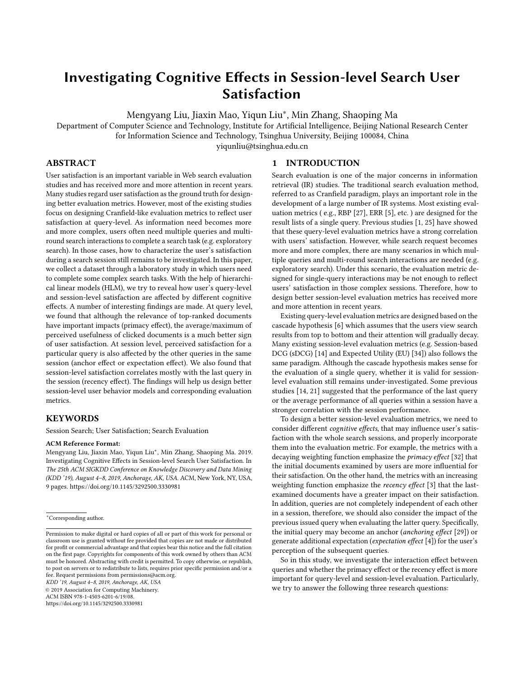# Investigating Cognitive Effects in Session-level Search User Satisfaction

Mengyang Liu, Jiaxin Mao, Yiqun Liu<sup>∗</sup> , Min Zhang, Shaoping Ma

Department of Computer Science and Technology, Institute for Artificial Intelligence, Beijing National Research Center for Information Science and Technology, Tsinghua University, Beijing 100084, China

yiqunliu@tsinghua.edu.cn

# ABSTRACT

User satisfaction is an important variable in Web search evaluation studies and has received more and more attention in recent years. Many studies regard user satisfaction as the ground truth for designing better evaluation metrics. However, most of the existing studies focus on designing Cranfield-like evaluation metrics to reflect user satisfaction at query-level. As information need becomes more and more complex, users often need multiple queries and multiround search interactions to complete a search task (e.g. exploratory search). In those cases, how to characterize the user's satisfaction during a search session still remains to be investigated. In this paper, we collect a dataset through a laboratory study in which users need to complete some complex search tasks. With the help of hierarchical linear models (HLM), we try to reveal how user's query-level and session-level satisfaction are affected by different cognitive effects. A number of interesting findings are made. At query level, we found that although the relevance of top-ranked documents have important impacts (primacy effect), the average/maximum of perceived usefulness of clicked documents is a much better sign of user satisfaction. At session level, perceived satisfaction for a particular query is also affected by the other queries in the same session (anchor effect or expectation effect). We also found that session-level satisfaction correlates mostly with the last query in the session (recency effect). The findings will help us design better session-level user behavior models and corresponding evaluation metrics.

## **KEYWORDS**

Session Search; User Satisfaction; Search Evaluation

#### ACM Reference Format:

Mengyang Liu, Jiaxin Mao, Yiqun Liu<sup>∗</sup> , Min Zhang, Shaoping Ma. 2019. Investigating Cognitive Effects in Session-level Search User Satisfaction. In The 25th ACM SIGKDD Conference on Knowledge Discovery and Data Mining (KDD '19), August 4–8, 2019, Anchorage, AK, USA. ACM, New York, NY, USA, [9](#page-8-0) pages.<https://doi.org/10.1145/3292500.3330981>

KDD '19, August 4–8, 2019, Anchorage, AK, USA

© 2019 Association for Computing Machinery.

ACM ISBN 978-1-4503-6201-6/19/08.

<https://doi.org/10.1145/3292500.3330981>

### 1 INTRODUCTION

Search evaluation is one of the major concerns in information retrieval (IR) studies. The traditional search evaluation method, referred to as Cranfield paradigm, plays an important role in the development of a large number of IR systems. Most existing evaluation metrics ( e.g., RBP [\[27\]](#page-8-1), ERR [\[5\]](#page-8-2), etc. ) are designed for the result lists of a single query. Previous studies [\[1,](#page-8-3) [25\]](#page-8-4) have showed that these query-level evaluation metrics have a strong correlation with users' satisfaction. However, while search request becomes more and more complex, there are many scenarios in which multiple queries and multi-round search interactions are needed (e.g. exploratory search). Under this scenario, the evaluation metric designed for single-query interactions may be not enough to reflect users' satisfaction in those complex sessions. Therefore, how to design better session-level evaluation metrics has received more and more attention in recent years.

Existing query-level evaluation metrics are designed based on the cascade hypothesis [\[6\]](#page-8-5) which assumes that the users view search results from top to bottom and their attention will gradually decay. Many existing session-level evaluation metrics (e.g. Session-based DCG (sDCG) [\[14\]](#page-8-6) and Expected Utility (EU) [\[34\]](#page-8-7)) also follows the same paradigm. Although the cascade hypothesis makes sense for the evaluation of a single query, whether it is valid for sessionlevel evaluation still remains under-investigated. Some previous studies [\[14,](#page-8-6) [21\]](#page-8-8) suggested that the performance of the last query or the average performance of all queries within a session have a stronger correlation with the session performance.

To design a better session-level evaluation metrics, we need to consider different cognitive effects, that may influence user's satisfaction with the whole search sessions, and properly incorporate them into the evaluation metric. For example, the metrics with a decaying weighting function emphasize the primacy effect [\[32\]](#page-8-9) that the initial documents examined by users are more influential for their satisfaction. On the other hand, the metrics with an increasing weighting function emphasize the recency effect [\[3\]](#page-8-10) that the lastexamined documents have a greater impact on their satisfaction. In addition, queries are not completely independent of each other in a session, therefore, we should also consider the impact of the previous issued query when evaluating the latter query. Specifically, the initial query may become an anchor (anchoring effect [\[29\]](#page-8-11)) or generate additional expectation (expectation effect [\[4\]](#page-8-12)) for the user's perception of the subsequent queries.

So in this study, we investigate the interaction effect between queries and whether the primacy effect or the recency effect is more important for query-level and session-level evaluation. Particularly, we try to answer the following three research questions:

<sup>∗</sup>Corresponding author.

Permission to make digital or hard copies of all or part of this work for personal or classroom use is granted without fee provided that copies are not made or distributed for profit or commercial advantage and that copies bear this notice and the full citation on the first page. Copyrights for components of this work owned by others than ACM must be honored. Abstracting with credit is permitted. To copy otherwise, or republish, to post on servers or to redistribute to lists, requires prior specific permission and/or a fee. Request permissions from permissions@acm.org.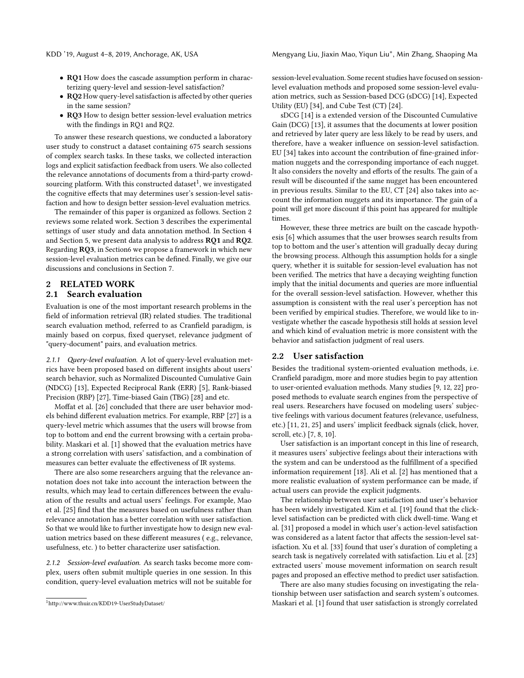- RQ1 How does the cascade assumption perform in characterizing query-level and session-level satisfaction?
- RQ2 How query-level satisfaction is affected by other queries in the same session?
- RQ3 How to design better session-level evaluation metrics with the findings in RQ1 and RQ2.

To answer these research questions, we conducted a laboratory user study to construct a dataset containing 675 search sessions of complex search tasks. In these tasks, we collected interaction logs and explicit satisfaction feedback from users. We also collected the relevance annotations of documents from a third-party crowd-sourcing platform. With this constructed dataset<sup>[1](#page-1-0)</sup>, we investigated the cognitive effects that may determines user's session-level satisfaction and how to design better session-level evaluation metrics.

The remainder of this paper is organized as follows. Section 2 reviews some related work. Section 3 describes the experimental settings of user study and data annotation method. In Section 4 and Section 5, we present data analysis to address RQ1 and RQ2. Regarding RQ3, in Section6 we propose a framework in which new session-level evaluation metrics can be defined. Finally, we give our discussions and conclusions in Section 7.

# 2 RELATED WORK

# 2.1 Search evaluation

Evaluation is one of the most important research problems in the field of information retrieval (IR) related studies. The traditional search evaluation method, referred to as Cranfield paradigm, is mainly based on corpus, fixed queryset, relevance judgment of "query-document" pairs, and evaluation metrics.

2.1.1 Query-level evaluation. A lot of query-level evaluation metrics have been proposed based on different insights about users' search behavior, such as Normalized Discounted Cumulative Gain (NDCG) [\[13\]](#page-8-13), Expected Reciprocal Rank (ERR) [\[5\]](#page-8-2), Rank-biased Precision (RBP) [\[27\]](#page-8-1), Time-biased Gain (TBG) [\[28\]](#page-8-14) and etc.

Moffat et al. [\[26\]](#page-8-15) concluded that there are user behavior models behind different evaluation metrics. For example, RBP [\[27\]](#page-8-1) is a query-level metric which assumes that the users will browse from top to bottom and end the current browsing with a certain probability. Maskari et al. [\[1\]](#page-8-3) showed that the evaluation metrics have a strong correlation with users' satisfaction, and a combination of measures can better evaluate the effectiveness of IR systems.

There are also some researchers arguing that the relevance annotation does not take into account the interaction between the results, which may lead to certain differences between the evaluation of the results and actual users' feelings. For example, Mao et al. [\[25\]](#page-8-4) find that the measures based on usefulness rather than relevance annotation has a better correlation with user satisfaction. So that we would like to further investigate how to design new evaluation metrics based on these different measures ( e.g., relevance, usefulness, etc. ) to better characterize user satisfaction.

2.1.2 Session-level evaluation. As search tasks become more complex, users often submit multiple queries in one session. In this condition, query-level evaluation metrics will not be suitable for

session-level evaluation. Some recent studies have focused on sessionlevel evaluation methods and proposed some session-level evaluation metrics, such as Session-based DCG (sDCG) [\[14\]](#page-8-6), Expected Utility (EU) [\[34\]](#page-8-7), and Cube Test (CT) [\[24\]](#page-8-16).

sDCG [\[14\]](#page-8-6) is a extended version of the Discounted Cumulative Gain (DCG) [\[13\]](#page-8-13), it assumes that the documents at lower position and retrieved by later query are less likely to be read by users, and therefore, have a weaker influence on session-level satisfaction. EU [\[34\]](#page-8-7) takes into account the contribution of fine-grained information nuggets and the corresponding importance of each nugget. It also considers the novelty and efforts of the results. The gain of a result will be discounted if the same nugget has been encountered in previous results. Similar to the EU, CT [\[24\]](#page-8-16) also takes into account the information nuggets and its importance. The gain of a point will get more discount if this point has appeared for multiple times.

However, these three metrics are built on the cascade hypothesis [\[6\]](#page-8-5) which assumes that the user browses search results from top to bottom and the user's attention will gradually decay during the browsing process. Although this assumption holds for a single query, whether it is suitable for session-level evaluation has not been verified. The metrics that have a decaying weighting function imply that the initial documents and queries are more influential for the overall session-level satisfaction. However, whether this assumption is consistent with the real user's perception has not been verified by empirical studies. Therefore, we would like to investigate whether the cascade hypothesis still holds at session level and which kind of evaluation metric is more consistent with the behavior and satisfaction judgment of real users.

#### 2.2 User satisfaction

Besides the traditional system-oriented evaluation methods, i.e. Cranfield paradigm, more and more studies begin to pay attention to user-oriented evaluation methods. Many studies [\[9,](#page-8-17) [12,](#page-8-18) [22\]](#page-8-19) proposed methods to evaluate search engines from the perspective of real users. Researchers have focused on modeling users' subjective feelings with various document features (relevance, usefulness, etc.) [\[11,](#page-8-20) [21,](#page-8-8) [25\]](#page-8-4) and users' implicit feedback signals (click, hover, scroll, etc.) [\[7,](#page-8-21) [8,](#page-8-22) [10\]](#page-8-23).

User satisfaction is an important concept in this line of research, it measures users' subjective feelings about their interactions with the system and can be understood as the fulfillment of a specified information requirement [\[18\]](#page-8-24). Ali et al. [\[2\]](#page-8-25) has mentioned that a more realistic evaluation of system performance can be made, if actual users can provide the explicit judgments.

The relationship between user satisfaction and user's behavior has been widely investigated. Kim et al. [\[19\]](#page-8-26) found that the clicklevel satisfaction can be predicted with click dwell-time. Wang et al. [\[31\]](#page-8-27) proposed a model in which user's action-level satisfaction was considered as a latent factor that affects the session-level satisfaction. Xu et al. [\[33\]](#page-8-28) found that user's duration of completing a search task is negatively correlated with satisfaction. Liu et al. [\[23\]](#page-8-29) extracted users' mouse movement information on search result pages and proposed an effective method to predict user satisfaction.

There are also many studies focusing on investigating the relationship between user satisfaction and search system's outcomes. Maskari et al. [\[1\]](#page-8-3) found that user satisfaction is strongly correlated

<span id="page-1-0"></span><sup>1</sup><http://www.thuir.cn/KDD19-UserStudyDataset/>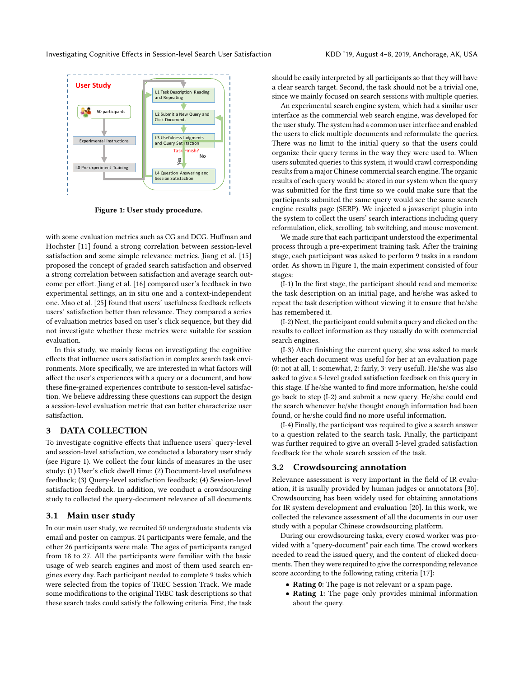<span id="page-2-0"></span>

Figure 1: User study procedure.

with some evaluation metrics such as CG and DCG. Huffman and Hochster [\[11\]](#page-8-20) found a strong correlation between session-level satisfaction and some simple relevance metrics. Jiang et al. [\[15\]](#page-8-30) proposed the concept of graded search satisfaction and observed a strong correlation between satisfaction and average search outcome per effort. Jiang et al. [\[16\]](#page-8-31) compared user's feedback in two experimental settings, an in situ one and a context-independent one. Mao et al. [\[25\]](#page-8-4) found that users' usefulness feedback reflects users' satisfaction better than relevance. They compared a series of evaluation metrics based on user's click sequence, but they did not investigate whether these metrics were suitable for session evaluation.

In this study, we mainly focus on investigating the cognitive effects that influence users satisfaction in complex search task environments. More specifically, we are interested in what factors will affect the user's experiences with a query or a document, and how these fine-grained experiences contribute to session-level satisfaction. We believe addressing these questions can support the design a session-level evaluation metric that can better characterize user satisfaction.

## 3 DATA COLLECTION

To investigate cognitive effects that influence users' query-level and session-level satisfaction, we conducted a laboratory user study (see Figure [1\)](#page-2-0). We collect the four kinds of measures in the user study: (1) User's click dwell time; (2) Document-level usefulness feedback; (3) Query-level satisfaction feedback; (4) Session-level satisfaction feedback. In addition, we conduct a crowdsourcing study to collected the query-document relevance of all documents.

#### 3.1 Main user study

In our main user study, we recruited 50 undergraduate students via email and poster on campus. 24 participants were female, and the other 26 participants were male. The ages of participants ranged from 18 to 27. All the participants were familiar with the basic usage of web search engines and most of them used search engines every day. Each participant needed to complete 9 tasks which were selected from the topics of TREC Session Track. We made some modifications to the original TREC task descriptions so that these search tasks could satisfy the following criteria. First, the task

should be easily interpreted by all participants so that they will have a clear search target. Second, the task should not be a trivial one, since we mainly focused on search sessions with multiple queries.

An experimental search engine system, which had a similar user interface as the commercial web search engine, was developed for the user study. The system had a common user interface and enabled the users to click multiple documents and reformulate the queries. There was no limit to the initial query so that the users could organize their query terms in the way they were used to. When users submited queries to this system, it would crawl corresponding results from a major Chinese commercial search engine. The organic results of each query would be stored in our system when the query was submitted for the first time so we could make sure that the participants submited the same query would see the same search engine results page (SERP). We injected a javascript plugin into the system to collect the users' search interactions including query reformulation, click, scrolling, tab switching, and mouse movement.

We made sure that each participant understood the experimental process through a pre-experiment training task. After the training stage, each participant was asked to perform 9 tasks in a random order. As shown in Figure [1,](#page-2-0) the main experiment consisted of four stages:

(I-1) In the first stage, the participant should read and memorize the task description on an initial page, and he/she was asked to repeat the task description without viewing it to ensure that he/she has remembered it.

(I-2) Next, the participant could submit a query and clicked on the results to collect information as they usually do with commercial search engines.

(I-3) After finishing the current query, she was asked to mark whether each document was useful for her at an evaluation page (0: not at all, 1: somewhat, 2: fairly, 3: very useful). He/she was also asked to give a 5-level graded satisfaction feedback on this query in this stage. If he/she wanted to find more information, he/she could go back to step (I-2) and submit a new query. He/she could end the search whenever he/she thought enough information had been found, or he/she could find no more useful information.

(I-4) Finally, the participant was required to give a search answer to a question related to the search task. Finally, the participant was further required to give an overall 5-level graded satisfaction feedback for the whole search session of the task.

#### 3.2 Crowdsourcing annotation

Relevance assessment is very important in the field of IR evaluation, it is usually provided by human judges or annotators [\[30\]](#page-8-32). Crowdsourcing has been widely used for obtaining annotations for IR system development and evaluation [\[20\]](#page-8-33). In this work, we collected the relevance assessment of all the documents in our user study with a popular Chinese crowdsourcing platform.

During our crowdsourcing tasks, every crowd worker was provided with a "query-document" pair each time. The crowd workers needed to read the issued query, and the content of clicked documents. Then they were required to give the corresponding relevance score according to the following rating criteria [\[17\]](#page-8-34):

- Rating 0: The page is not relevant or a spam page.
- Rating 1: The page only provides minimal information about the query.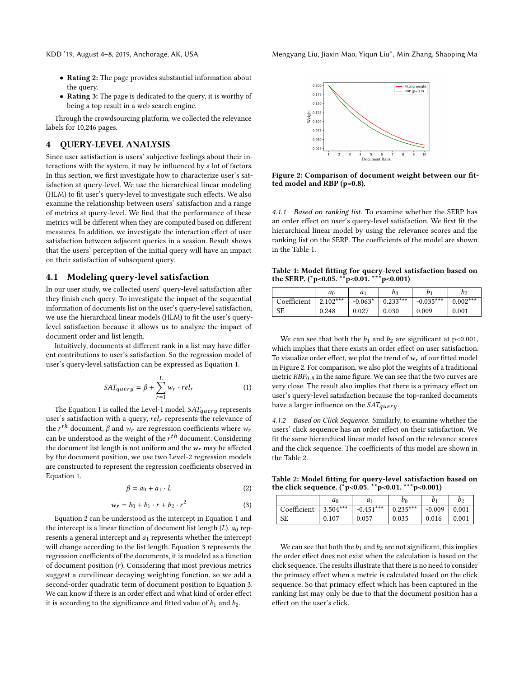- Rating 2: The page provides substantial information about the query.
- Rating 3: The page is dedicated to the query, it is worthy of being a top result in a web search engine.

Through the crowdsourcing platform, we collected the relevance labels for 10,246 pages.

#### 4 QUERY-LEVEL ANALYSIS

Since user satisfaction is users' subjective feelings about their interactions with the system, it may be influenced by a lot of factors. In this section, we first investigate how to characterize user's satisfaction at query-level. We use the hierarchical linear modeling (HLM) to fit user's query-level to investigate such effects. We also examine the relationship between users' satisfaction and a range of metrics at query-level. We find that the performance of these metrics will be different when they are computed based on different measures. In addition, we investigate the interaction effect of user satisfaction between adjacent queries in a session. Result shows that the users' perception of the initial query will have an impact on their satisfaction of subsequent query.

## 4.1 Modeling query-level satisfaction

In our user study, we collected users' query-level satisfaction after they finish each query. To investigate the impact of the sequential information of documents list on the user's query-level satisfaction, we use the hierarchical linear models (HLM) to fit the user's querylevel satisfaction because it allows us to analyze the impact of document order and list length.

Intuitively, documents at different rank in a list may have different contributions to user's satisfaction. So the regression model of user's query-level satisfaction can be expressed as Equation [1.](#page-3-0)

<span id="page-3-0"></span>
$$
SAT_{query} = \beta + \sum_{r=1}^{L} w_r \cdot rel_r \tag{1}
$$

The Equation [1](#page-3-0) is called the Level-1 model.  $SAT_{query}$  represents user's satisfaction with a query,  $rel<sub>r</sub>$  represents the relevance of the  $r^{th}$  document,  $\beta$  and  $w_r$  are regression coefficients where  $w_r$ <br>can be understood as the weight of the  $r^{th}$  document. Considering can be understood as the weight of the  $r^{th}$  document. Considering<br>the document list length is not uniform and the  $w$ , may be affected the document list length is not uniform and the  $w_r$  may be affected by the document position, we use two Level-2 regression models are constructed to represent the regression coefficients observed in Equation [1.](#page-3-0)

<span id="page-3-1"></span>
$$
\beta = a_0 + a_1 \cdot L \tag{2}
$$

<span id="page-3-2"></span>
$$
w_r = b_0 + b_1 \cdot r + b_2 \cdot r^2 \tag{3}
$$

Equation [2](#page-3-1) can be understood as the intercept in Equation [1](#page-3-0) and the intercept is a linear function of document list length  $(L)$ .  $a_0$  represents a general intercept and  $a_1$  represents whether the intercept will change according to the list length. Equation [3](#page-3-2) represents the regression coefficients of the documents, it is modeled as a function of document position  $(r)$ . Considering that most previous metrics suggest a curvilinear decaying weighting function, so we add a second-order quadratic term of document position to Equation [3.](#page-3-2) We can know if there is an order effect and what kind of order effect it is according to the significance and fitted value of  $b_1$  and  $b_2$ .

<span id="page-3-4"></span>

Figure 2: Comparison of document weight between our fitted model and RBP (p=0.8).

4.1.1 Based on ranking list. To examine whether the SERP has an order effect on user's query-level satisfaction. We first fit the hierarchical linear model by using the relevance scores and the ranking list on the SERP. The coefficients of the model are shown in the Table [1.](#page-3-3)

<span id="page-3-3"></span>Table 1: Model fitting for query-level satisfaction based on the SERP. (\*p<0.05. \*\*p<0.01. \*\*\*p<0.001)

|             | a <sub>0</sub> | a <sub>1</sub> | b <sub>0</sub> | $\mathcal{D}^{\mathcal{A}}$ | bэ         |
|-------------|----------------|----------------|----------------|-----------------------------|------------|
| Coefficient | $2.102***$     | $-0.063*$      | $0.233***$     | $-0.035***$                 | $0.002***$ |
| <b>SE</b>   | 0.248          | 0.027          | 0.030          | 0.009                       | 0.001      |

We can see that both the  $b_1$  and  $b_2$  are significant at p<0.001, which implies that there exists an order effect on user satisfaction. To visualize order effect, we plot the trend of  $w_r$  of our fitted model in Figure [2.](#page-3-4) For comparison, we also plot the weights of a traditional metric  $RBP_{0.8}$  in the same figure. We can see that the two curves are very close. The result also implies that there is a primacy effect on user's query-level satisfaction because the top-ranked documents have a larger influence on the  $SAT<sub>query</sub>$ .

4.1.2 Based on Click Sequence. Similarly, to examine whether the users' click sequence has an order effect on their satisfaction. We fit the same hierarchical linear model based on the relevance scores and the click sequence. The coefficients of this model are shown in the Table [2.](#page-3-5)

<span id="page-3-5"></span>Table 2: Model fitting for query-level satisfaction based on the click sequence. (\*p<0.05. \*\*p<0.01. \*\*\*p<0.001)

|             | a <sub>0</sub> | a1          | $b_0$      | b1       | b2    |
|-------------|----------------|-------------|------------|----------|-------|
| Coefficient | $3.504***$     | $-0.451***$ | $0.235***$ | $-0.009$ | 0.001 |
| SЕ          | 0.107          | 0.057       | 0.035      | 0.016    | 0.001 |

We can see that both the  $b_1$  and  $b_2$  are not significant, this implies the order effect does not exist when the calculation is based on the click sequence. The results illustrate that there is no need to consider the primacy effect when a metric is calculated based on the click sequence. So that primacy effect which has been captured in the ranking list may only be due to that the document position has a effect on the user's click.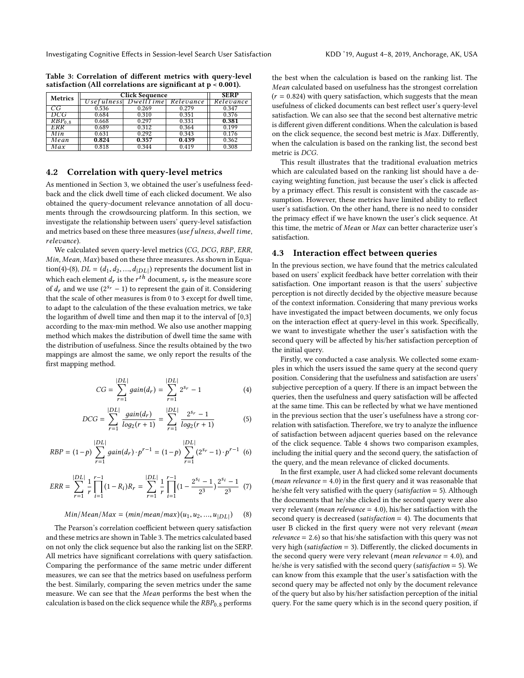| <b>Metrics</b>     | <b>Click Sequence</b> | <b>SERP</b>                    |       |           |
|--------------------|-----------------------|--------------------------------|-------|-----------|
|                    |                       | Usefulness DwellTime Relevance |       | Relevance |
| CG                 | 0.536                 | 0.269                          | 0.279 | 0.347     |
| DCG                | 0.684                 | 0.310                          | 0.351 | 0.376     |
| RBP <sub>0.8</sub> | 0.668                 | 0.297                          | 0.331 | 0.381     |
| ERR                | 0.689                 | 0.312                          | 0.364 | 0.199     |
| Min                | 0.631                 | 0.292                          | 0.343 | 0.176     |
| Mean               | 0.824                 | 0.357                          | 0.439 | 0.362     |
| Max                | 0.818                 | 0.344                          | 0.419 | 0.308     |
|                    |                       |                                |       |           |

<span id="page-4-2"></span>Table 3: Correlation of different metrics with query-level satisfaction (All correlations are significant at  $p \le 0.001$ ).

## 4.2 Correlation with query-level metrics

As mentioned in Section 3, we obtained the user's usefulness feedback and the click dwell time of each clicked document. We also obtained the query-document relevance annotation of all documents through the crowdsourcing platform. In this section, we investigate the relationship between users' query-level satisfaction and metrics based on these three measures (use fulness, dwell time, relevance).

We calculated seven query-level metrics (CG, DCG, RBP, ERR, Min, Mean, Max) based on these three measures. As shown in Equa-tion[\(4\)](#page-4-0)-[\(8\)](#page-4-1),  $DL = (d_1, d_2, ..., d_{|DL|})$  represents the document list in which such a lower d is the measure as seen which each element  $d_r$  is the  $r^{th}$  document,  $s_r$  is the measure score<br>of degrad we use  $(2^{s_r}-1)$  to represent the gain of it. Considering of  $d_r$  and we use  $(2^{sr} - 1)$  to represent the gain of it. Considering that the scale of other measures is from 0 to 3 except for dwell time that the scale of other measures is from 0 to 3 except for dwell time, to adapt to the calculation of the these evaluation metrics, we take the logarithm of dwell time and then map it to the interval of [0,3] according to the max-min method. We also use another mapping method which makes the distribution of dwell time the same with the distribution of usefulness. Since the results obtained by the two mappings are almost the same, we only report the results of the first mapping method.

<span id="page-4-0"></span>
$$
CG = \sum_{r=1}^{|DL|} gain(d_r) = \sum_{r=1}^{|DL|} 2^{s_r} - 1
$$
 (4)

$$
DCG = \sum_{r=1}^{|DL|} \frac{gain(d_r)}{log_2(r+1)} = \sum_{r=1}^{|DL|} \frac{2^{s_r} - 1}{log_2(r+1)}
$$
(5)

$$
RBP = (1-p) \sum_{r=1}^{|DL|} gain(d_r) \cdot p^{r-1} = (1-p) \sum_{r=1}^{|DL|} (2^{s_r} - 1) \cdot p^{r-1}
$$
 (6)

$$
ERR = \sum_{r=1}^{|DL|} \frac{1}{r} \prod_{i=1}^{r-1} (1 - R_i) R_r = \sum_{r=1}^{|DL|} \frac{1}{r} \prod_{i=1}^{r-1} (1 - \frac{2^{s_i} - 1}{2^3}) \frac{2^{s_i} - 1}{2^3} (7)
$$

<span id="page-4-1"></span>
$$
Min/Mean/Max = (min/mean/max)(u_1, u_2, ..., u_{|DL|})
$$
 (8)

The Pearson's correlation coefficient between query satisfaction and these metrics are shown in Table [3.](#page-4-2) The metrics calculated based on not only the click sequence but also the ranking list on the SERP. All metrics have significant correlations with query satisfaction. Comparing the performance of the same metric under different measures, we can see that the metrics based on usefulness perform the best. Similarly, comparing the seven metrics under the same measure. We can see that the Mean performs the best when the calculation is based on the click sequence while the  $RBP_{0.8}$  performs

the best when the calculation is based on the ranking list. The Mean calculated based on usefulness has the strongest correlation  $(r = 0.824)$  with query satisfaction, which suggests that the mean usefulness of clicked documents can best reflect user's query-level satisfaction. We can also see that the second best alternative metric is different given different conditions. When the calculation is based on the click sequence, the second best metric is Max. Differently, when the calculation is based on the ranking list, the second best metric is DCG.

This result illustrates that the traditional evaluation metrics which are calculated based on the ranking list should have a decaying weighting function, just because the user's click is affected by a primacy effect. This result is consistent with the cascade assumption. However, these metrics have limited ability to reflect user's satisfaction. On the other hand, there is no need to consider the primacy effect if we have known the user's click sequence. At this time, the metric of Mean or Max can better characterize user's satisfaction.

## 4.3 Interaction effect between queries

In the previous section, we have found that the metrics calculated based on users' explicit feedback have better correlation with their satisfaction. One important reason is that the users' subjective perception is not directly decided by the objective measure because of the context information. Considering that many previous works have investigated the impact between documents, we only focus on the interaction effect at query-level in this work. Specifically, we want to investigate whether the user's satisfaction with the second query will be affected by his/her satisfaction perception of the initial query.

Firstly, we conducted a case analysis. We collected some examples in which the users issued the same query at the second query position. Considering that the usefulness and satisfaction are users' subjective perception of a query. If there is an impact between the queries, then the usefulness and query satisfaction will be affected at the same time. This can be reflected by what we have mentioned in the previous section that the user's usefulness have a strong correlation with satisfaction. Therefore, we try to analyze the influence of satisfaction between adjacent queries based on the relevance of the click sequence. Table [4](#page-5-0) shows two comparison examples, including the initial query and the second query, the satisfaction of the query, and the mean relevance of clicked documents.

In the first example, user A had clicked some relevant documents (*mean relevance*  $= 4.0$ ) in the first query and it was reasonable that he/she felt very satisfied with the query (satisfaction = 5). Although the documents that he/she clicked in the second query were also very relevant (*mean relevance* =  $4.0$ ), his/her satisfaction with the second query is decreased (satisfaction = 4). The documents that user B clicked in the first query were not very relevant (mean  $relevance = 2.6$ ) so that his/she satisfaction with this query was not very high (satisfaction = 3). Differently, the clicked documents in the second query were very relevant (*mean relevance*  $=$  4.0), and he/she is very satisfied with the second query (satisfaction = 5). We can know from this example that the user's satisfaction with the second query may be affected not only by the document relevance of the query but also by his/her satisfaction perception of the initial query. For the same query which is in the second query position, if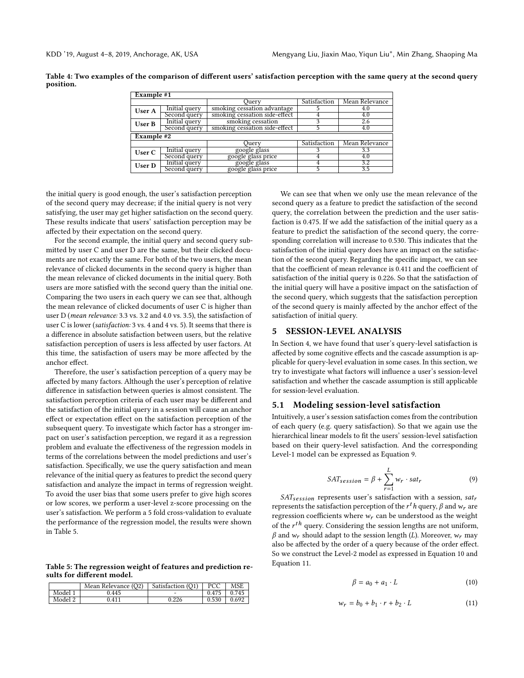<span id="page-5-0"></span>Table 4: Two examples of the comparison of different users' satisfaction perception with the same query at the second query position.

| Example #1 |                                               |                               |              |                |  |  |  |
|------------|-----------------------------------------------|-------------------------------|--------------|----------------|--|--|--|
|            |                                               | Ouerv                         | Satisfaction | Mean Relevance |  |  |  |
| User A     | Initial query                                 | smoking cessation advantage   |              | 4.0            |  |  |  |
|            | Second query                                  | smoking cessation side-effect |              | 4.0            |  |  |  |
| User B     | Initial query                                 | smoking cessation             |              | 2.6            |  |  |  |
|            | smoking cessation side-effect<br>Second query |                               |              | 4.0            |  |  |  |
| Example #2 |                                               |                               |              |                |  |  |  |
|            |                                               | Juery                         | Satisfaction | Mean Relevance |  |  |  |
| User C     | Initial query                                 | google glass                  |              | 3.3            |  |  |  |
|            | Second query                                  | google glass price            |              | 4.0            |  |  |  |
| User D     | Initial query                                 | google glass                  |              | 3.2            |  |  |  |
|            | Second query                                  | google glass price            |              | 3.5            |  |  |  |

the initial query is good enough, the user's satisfaction perception of the second query may decrease; if the initial query is not very satisfying, the user may get higher satisfaction on the second query. These results indicate that users' satisfaction perception may be affected by their expectation on the second query.

For the second example, the initial query and second query submitted by user C and user D are the same, but their clicked documents are not exactly the same. For both of the two users, the mean relevance of clicked documents in the second query is higher than the mean relevance of clicked documents in the initial query. Both users are more satisfied with the second query than the initial one. Comparing the two users in each query we can see that, although the mean relevance of clicked documents of user C is higher than user D (mean relevance: 3.3 vs. 3.2 and 4.0 vs. 3.5), the satisfaction of user C is lower (satisfaction: 3 vs. 4 and 4 vs. 5). It seems that there is a difference in absolute satisfaction between users, but the relative satisfaction perception of users is less affected by user factors. At this time, the satisfaction of users may be more affected by the anchor effect.

Therefore, the user's satisfaction perception of a query may be affected by many factors. Although the user's perception of relative difference in satisfaction between queries is almost consistent. The satisfaction perception criteria of each user may be different and the satisfaction of the initial query in a session will cause an anchor effect or expectation effect on the satisfaction perception of the subsequent query. To investigate which factor has a stronger impact on user's satisfaction perception, we regard it as a regression problem and evaluate the effectiveness of the regression models in terms of the correlations between the model predictions and user's satisfaction. Specifically, we use the query satisfaction and mean relevance of the initial query as features to predict the second query satisfaction and analyze the impact in terms of regression weight. To avoid the user bias that some users prefer to give high scores or low scores, we perform a user-level z-score processing on the user's satisfaction. We perform a 5 fold cross-validation to evaluate the performance of the regression model, the results were shown in Table [5.](#page-5-1)

<span id="page-5-1"></span>Table 5: The regression weight of features and prediction results for different model.

|         | Mean Relevance (O2) | Satisfaction (O1) | PCC   | <b>MSE</b> |
|---------|---------------------|-------------------|-------|------------|
| Model   | 0.445               | -                 | 0.475 | 0.745      |
| Model 2 | 0 411               | 0.226             | 0.530 | 0.692      |

We can see that when we only use the mean relevance of the second query as a feature to predict the satisfaction of the second query, the correlation between the prediction and the user satisfaction is 0.475. If we add the satisfaction of the initial query as a feature to predict the satisfaction of the second query, the corresponding correlation will increase to 0.530. This indicates that the satisfaction of the initial query does have an impact on the satisfaction of the second query. Regarding the specific impact, we can see that the coefficient of mean relevance is 0.411 and the coefficient of satisfaction of the initial query is 0.226. So that the satisfaction of the initial query will have a positive impact on the satisfaction of the second query, which suggests that the satisfaction perception of the second query is mainly affected by the anchor effect of the satisfaction of initial query.

#### 5 SESSION-LEVEL ANALYSIS

In Section 4, we have found that user's query-level satisfaction is affected by some cognitive effects and the cascade assumption is applicable for query-level evaluation in some cases. In this section, we try to investigate what factors will influence a user's session-level satisfaction and whether the cascade assumption is still applicable for session-level evaluation.

#### 5.1 Modeling session-level satisfaction

Intuitively, a user's session satisfaction comes from the contribution of each query (e.g. query satisfaction). So that we again use the hierarchical linear models to fit the users' session-level satisfaction based on their query-level satisfaction. And the corresponding Level-1 model can be expressed as Equation [9.](#page-5-2)

<span id="page-5-2"></span>
$$
SAT_{session} = \beta + \sum_{r=1}^{L} w_r \cdot sat_r
$$
 (9)

 $SAT_{session}$  represents user's satisfaction with a session,  $sat_r$ <br>resents the satisfaction perception of the r<sup>t</sup>h query  $\beta$  and w are represents the satisfaction perception of the  $r^t h$  query, β and  $w_r$  are<br>regression coefficients where  $w_r$  can be understood as the weight regression coefficients where  $w_r$  can be understood as the weight of the  $r^{th}$  query. Considering the session lengths are not uniform,<br> $\beta$  and  $w$  should adapt to the session length (1). Moreover  $w$  may  $\beta$  and  $w_r$  should adapt to the session length (L). Moreover,  $w_r$  may also be affected by the order of a query because of the order effect. So we construct the Level-2 model as expressed in Equation [10](#page-5-3) and Equation [11.](#page-5-4)

<span id="page-5-3"></span>
$$
\beta = a_0 + a_1 \cdot L \tag{10}
$$

<span id="page-5-4"></span>
$$
w_r = b_0 + b_1 \cdot r + b_2 \cdot L \tag{11}
$$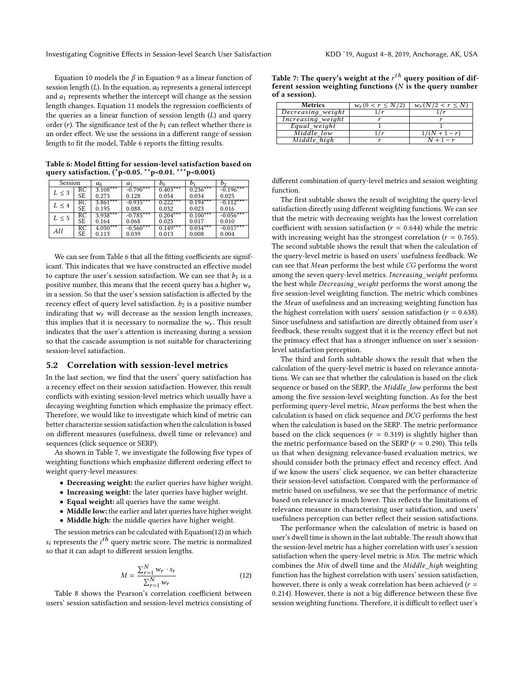Equation [10](#page-5-3) models the  $\beta$  in Equation [9](#page-5-2) as a linear function of session length  $(L)$ . In the equation,  $a_0$  represents a general intercept and  $a_1$  represents whether the intercept will change as the session length changes. Equation [11](#page-5-4) models the regression coefficients of the queries as a linear function of session length  $(L)$  and query order (*r*). The significance test of the  $b_1$  can reflect whether there is an order effect. We use the sessions in a different range of session length to fit the model, Table [6](#page-6-0) reports the fitting results.

| Session    |             | a <sub>0</sub> | $a_1$       | $b_0$      |            | b2          |
|------------|-------------|----------------|-------------|------------|------------|-------------|
| $L \leq 3$ | RC          | $3.108***$     | $-0.790***$ | $0.403***$ | $0.236***$ | $-0.196***$ |
|            | SE          | 0.273          | 0.128       | 0.054      | 0.034      | 0.025       |
| $L \leq 4$ | $_{\rm RC}$ | $3.861***$     | $-0.935***$ | $0.222***$ | $0.194***$ | $-0.112***$ |
|            | SE          | 0.195          | 0.088       | 0.032      | 0.023      | 0.016       |
| $L \leq 5$ | RC          | $3.938***$     | $-0.785***$ | $0.204***$ | $0.100***$ | $-0.056***$ |
|            | SE          | 0.164          | 0.068       | 0.025      | 0.017      | 0.010       |
| All        | $_{\rm RC}$ | $4.050***$     | $-0.560***$ | $0.149***$ | $0.034***$ | $-0.017***$ |
|            | SE          | 0.113          | 0.039       | 0.013      | 0.008      | 0.004       |

<span id="page-6-0"></span>Table 6: Model fitting for session-level satisfaction based on query satisfaction. (\*p<0.05. \*\*p<0.01. \*\*\*p<0.001)

We can see from Table [6](#page-6-0) that all the fitting coefficients are significant. This indicates that we have constructed an effective model to capture the user's session satisfaction. We can see that  $b_1$  is a positive number, this means that the recent query has a higher  $w_r$ in a session. So that the user's session satisfaction is affected by the recency effect of query level satisfaction.  $b_2$  is a positive number indicating that  $w_r$  will decrease as the session length increases, this implies that it is necessary to normalize the  $w_r$ . This result indicates that the user's attention is increasing during a session so that the cascade assumption is not suitable for characterizing session-level satisfaction.

#### 5.2 Correlation with session-level metrics

In the last section, we find that the users' query satisfaction has a recency effect on their session satisfaction. However, this result conflicts with existing session-level metrics which usually have a decaying weighting function which emphasize the primacy effect. Therefore, we would like to investigate which kind of metric can better characterize session satisfaction when the calculation is based on different measures (usefulness, dwell time or relevance) and sequences (click sequence or SERP).

As shown in Table [7,](#page-6-1) we investigate the following five types of weighting functions which emphasize different ordering effect to weight query-level measures:

- Decreasing weight: the earlier queries have higher weight.
- Increasing weight: the later queries have higher weight.
- Equal weight: all queries have the same weight.
- Middle low: the earlier and later queries have higher weight.
- Middle high: the middle queries have higher weight.

The session metrics can be calculated with Equation[\(12\)](#page-6-2) in which  $s_i$  represents the  $i^{\text{th}}$  query metric score. The metric is normalized<br>so that it can adapt to different session lengths so that it can adapt to different session lengths.

<span id="page-6-2"></span>
$$
M = \frac{\sum_{r=1}^{N} w_r \cdot s_r}{\sum_{r=1}^{N} w_r} \tag{12}
$$

 $\sum_{r=1}^{N} \frac{w_r}{r}$  Table [8](#page-7-0) shows the Pearson's correlation coefficient between users' session satisfaction and session-level metrics consisting of

<span id="page-6-1"></span>

| Table 7: The query's weight at the $r^{th}$ query position of dif- |  |
|--------------------------------------------------------------------|--|
| ferent session weighting functions $(N)$ is the query number       |  |
| of a session).                                                     |  |

| <b>Metrics</b>    | $w_r(0 < r \le N/2)$ | $w_r(N/2 < r \leq N)$ |
|-------------------|----------------------|-----------------------|
| Decreasing_weight |                      |                       |
| Increasing_weight |                      |                       |
| Equal_weight      |                      |                       |
| Middle low        |                      | $1/(N+1-r)$           |
| Middle high       |                      | $N+1-r$               |
|                   |                      |                       |

different combination of query-level metrics and session weighting function.

The first subtable shows the result of weighting the query-level satisfaction directly using different weighting functions. We can see that the metric with decreasing weights has the lowest correlation coefficient with session satisfaction ( $r = 0.644$ ) while the metric with increasing weight has the strongest correlation  $(r = 0.765)$ . The second subtable shows the result that when the calculation of the query-level metric is based on users' usefulness feedback. We can see that Mean performs the best while CG performs the worst among the seven query-level metrics. Increasing\_weight performs the best while Decreasinд\_weiдht performs the worst among the five session-level weighting function. The metric which combines the Mean of usefulness and an increasing weighting function has the highest correlation with users' session satisfaction ( $r = 0.638$ ). Since usefulness and satisfaction are directly obtained from user's feedback, these results suggest that it is the recency effect but not the primacy effect that has a stronger influence on user's sessionlevel satisfaction perception.

The third and forth subtable shows the result that when the calculation of the query-level metric is based on relevance annotations. We can see that whether the calculation is based on the click sequence or based on the SERP, the Middle\_low performs the best among the five session-level weighting function. As for the best performing query-level metric, Mean performs the best when the calculation is based on click sequence and DCG performs the best when the calculation is based on the SERP. The metric performance based on the click sequences ( $r = 0.319$ ) is slightly higher than the metric performance based on the SERP ( $r = 0.290$ ). This tells us that when designing relevance-based evaluation metrics, we should consider both the primacy effect and recency effect. And if we know the users' click sequence, we can better characterize their session-level satisfaction. Compared with the performance of metric based on usefulness, we see that the performance of metric based on relevance is much lower. This reflects the limitations of relevance measure in characterising user satisfaction, and users' usefulness perception can better reflect their session satisfactions.

The performance when the calculation of metric is based on user's dwell time is shown in the last subtable. The result shows that the session-level metric has a higher correlation with user's session satisfaction when the query-level metric is Min. The metric which combines the Min of dwell time and the Middle\_high weighting function has the highest correlation with users' session satisfaction, however, there is only a weak correlation has been achieved ( $r =$ <sup>0</sup>.214). However, there is not a big difference between these five session weighting functions. Therefore, it is difficult to reflect user's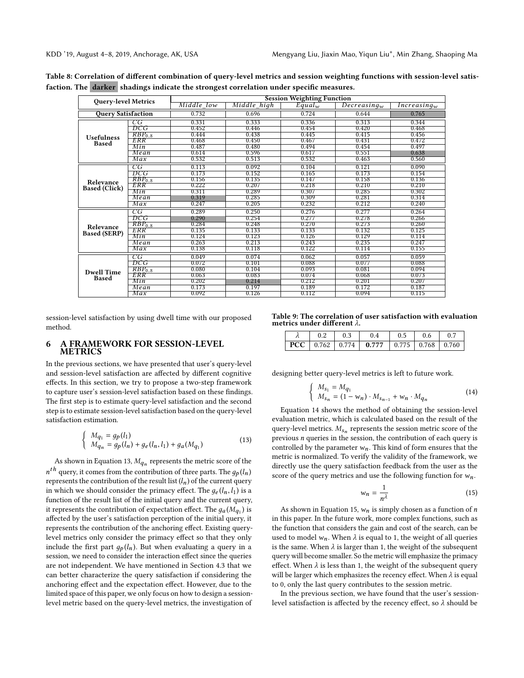| <b>Query-level Metrics</b> |                    | <b>Session Weighting Function</b> |             |             |                |                |  |  |
|----------------------------|--------------------|-----------------------------------|-------------|-------------|----------------|----------------|--|--|
|                            |                    | Middle low                        | Middle high | $Equal_{w}$ | $Decreasing_w$ | $Increasing_w$ |  |  |
| <b>Ouery Satisfaction</b>  |                    | 0.732                             | 0.696       | 0.724       | 0.644          | 0.765          |  |  |
|                            | CG                 | 0.331                             | 0.333       | 0.336       | 0.313          | 0.344          |  |  |
|                            | DCG                | 0.452                             | 0.446       | 0.454       | 0.420          | 0.468          |  |  |
| <b>Usefulness</b>          | RBP <sub>0.8</sub> | 0.444                             | 0.438       | 0.445       | 0.415          | 0.456          |  |  |
| <b>Based</b>               | ERR                | 0.468                             | 0.450       | 0.467       | 0.431          | 0.472          |  |  |
|                            | Min                | 0.487                             | 0.480       | 0.494       | 0.454          | 0.497          |  |  |
|                            | Mean               | 0.614                             | 0.596       | 0.617       | 0.551          | 0.638          |  |  |
|                            | Max                | 0.532                             | 0.513       | 0.532       | 0.463          | 0.560          |  |  |
|                            | CG                 | 0.113                             | 0.092       | 0.104       | 0.121          | 0.090          |  |  |
|                            | DCG                | 0.173                             | 0.152       | 0.165       | 0.173          | 0.154          |  |  |
| Relevance                  | $RBP_{0.8}$        | 0.156                             | 0.135       | 0.147       | 0.158          | 0.136          |  |  |
| <b>Based (Click)</b>       | ERR                | 0.222                             | 0.207       | 0.218       | 0.210          | 0.210          |  |  |
|                            | Min                | 0.311                             | 0.289       | 0.307       | 0.285          | 0.302          |  |  |
|                            | Mean               | 0.319                             | 0.285       | 0.309       | 0.281          | 0.314          |  |  |
|                            | Max                | 0.247                             | 0.205       | 0.232       | 0.212          | 0.240          |  |  |
|                            | CG                 | 0.289                             | 0.250       | 0.276       | 0.277          | 0.264          |  |  |
|                            | DCG                | 0.290                             | 0.254       | 0.277       | 0.278          | 0.266          |  |  |
| Relevance                  | RBP <sub>0.8</sub> | 0.284                             | 0.248       | 0.270       | 0.273          | 0.260          |  |  |
| <b>Based (SERP)</b>        | ERR                | 0.135                             | 0.133       | 0.133       | 0.132          | 0.125          |  |  |
|                            | Min                | 0.124                             | 0.123       | 0.126       | 0.129          | 0.114          |  |  |
|                            | Mean               | 0.263                             | 0.213       | 0.243       | 0.235          | 0.247          |  |  |
|                            | Max                | 0.138                             | 0.118       | 0.122       | 0.114          | 0.155          |  |  |
|                            | CG                 | 0.049                             | 0.074       | 0.062       | 0.057          | 0.059          |  |  |
|                            | DCG                | 0.072                             | 0.101       | 0.088       | 0.077          | 0.088          |  |  |
| <b>Dwell Time</b>          | $RBP_{0.8}$        | 0.080                             | 0.104       | 0.093       | 0.081          | 0.094          |  |  |
| <b>Based</b>               | ERR                | 0.063                             | 0.083       | 0.074       | 0.068          | 0.073          |  |  |
|                            | Min                | 0.202                             | 0.214       | 0.212       | 0.201          | 0.207          |  |  |
|                            | Mean               | 0.173                             | 0.197       | 0.189       | 0.172          | 0.187          |  |  |
|                            | Max                | 0.092                             | 0.126       | 0.112       | 0.094          | 0.115          |  |  |
|                            |                    |                                   |             |             |                |                |  |  |

<span id="page-7-0"></span>Table 8: Correlation of different combination of query-level metrics and session weighting functions with session-level satisfaction. The darker shadings indicate the strongest correlation under specific measures.

session-level satisfaction by using dwell time with our proposed method.

#### 6 A FRAMEWORK FOR SESSION-LEVEL METRICS

In the previous sections, we have presented that user's query-level and session-level satisfaction are affected by different cognitive effects. In this section, we try to propose a two-step framework to capture user's session-level satisfaction based on these findings. The first step is to estimate query-level satisfaction and the second step is to estimate session-level satisfaction based on the query-level satisfaction estimation.

<span id="page-7-1"></span>
$$
\begin{cases}\nM_{q_1} = g_p(l_1) \\
M_{q_n} = g_p(l_n) + g_e(l_n, l_1) + g_a(M_{q_1})\n\end{cases}
$$
\n(13)

As shown in Equation [13,](#page-7-1)  $M_{q_n}$  represents the metric score of the  $h$ represents the contribution of the result list  $(l_n)$  of the current query<br>in which we should consider the primacy effect. The a  $(l_n)$  is a  $n^{th}$  query, it comes from the contribution of three parts. The  $q_p(l_n)$ in which we should consider the primacy effect. The  $g_e(l_n, l_1)$  is a function of the result list of the initial query and the current query, it represents the contribution of expectation effect. The  $g_a(M_{q_1})$  is<br>affected by the user's satisfaction perception of the initial query if affected by the user's satisfaction perception of the initial query, it represents the contribution of the anchoring effect. Existing querylevel metrics only consider the primacy effect so that they only include the first part  $g_p(l_n)$ . But when evaluating a query in a session, we need to consider the interaction effect since the queries are not independent. We have mentioned in Section 4.3 that we can better characterize the query satisfaction if considering the anchoring effect and the expectation effect. However, due to the limited space of this paper, we only focus on how to design a sessionlevel metric based on the query-level metrics, the investigation of

<span id="page-7-4"></span>

|  | metrics under different $\lambda$ . | Table 9: The correlation of user satisfaction with evaluation |  |  |
|--|-------------------------------------|---------------------------------------------------------------|--|--|
|  |                                     |                                                               |  |  |

|  | $0.2$   $0.3$   $0.4$   $0.5$   $0.6$   $0.7$ |  |  |
|--|-----------------------------------------------|--|--|
|  |                                               |  |  |

designing better query-level metrics is left to future work.

<span id="page-7-2"></span>
$$
\begin{cases} M_{s_1} = M_{q_1} \\ M_{s_n} = (1 - w_n) \cdot M_{s_{n-1}} + w_n \cdot M_{q_n} \end{cases}
$$
 (14)

Equation [14](#page-7-2) shows the method of obtaining the session-level evaluation metric, which is calculated based on the result of the query-level metrics.  $M_{s_n}$  represents the session metric score of the previous *n* query is previous n queries in the session, the contribution of each query is controlled by the parameter  $w_n$ . This kind of form ensures that the metric is normalized. To verify the validity of the framework, we directly use the query satisfaction feedback from the user as the score of the query metrics and use the following function for  $w_n$ .

<span id="page-7-3"></span>
$$
w_n = \frac{1}{n^{\lambda}} \tag{15}
$$

As shown in Equation [15,](#page-7-3)  $w_n$  is simply chosen as a function of *n* this paper. In the future work, more complex functions, such as in this paper. In the future work, more complex functions, such as the function that considers the gain and cost of the search, can be used to model  $w_n$ . When  $\lambda$  is equal to 1, the weight of all queries is the same. When  $\lambda$  is larger than 1, the weight of the subsequent query will become smaller. So the metric will emphasize the primacy effect. When  $\lambda$  is less than 1, the weight of the subsequent query will be larger which emphasizes the recency effect. When  $\lambda$  is equal to 0, only the last query contributes to the session metric.

In the previous section, we have found that the user's sessionlevel satisfaction is affected by the recency effect, so  $\lambda$  should be